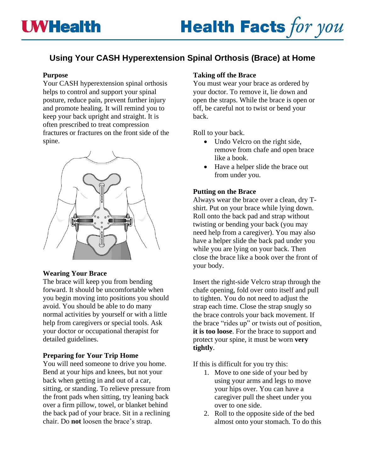# **Using Your CASH Hyperextension Spinal Orthosis (Brace) at Home**

#### **Purpose**

Your CASH hyperextension spinal orthosis helps to control and support your spinal posture, reduce pain, prevent further injury and promote healing. It will remind you to keep your back upright and straight. It is often prescribed to treat compression fractures or fractures on the front side of the spine.



#### **Wearing Your Brace**

The brace will keep you from bending forward. It should be uncomfortable when you begin moving into positions you should avoid. You should be able to do many normal activities by yourself or with a little help from caregivers or special tools. Ask your doctor or occupational therapist for detailed guidelines.

#### **Preparing for Your Trip Home**

You will need someone to drive you home. Bend at your hips and knees, but not your back when getting in and out of a car, sitting, or standing. To relieve pressure from the front pads when sitting, try leaning back over a firm pillow, towel, or blanket behind the back pad of your brace. Sit in a reclining chair. Do **not** loosen the brace's strap.

#### **Taking off the Brace**

You must wear your brace as ordered by your doctor. To remove it, lie down and open the straps. While the brace is open or off, be careful not to twist or bend your back.

Roll to your back.

- Undo Velcro on the right side, remove from chafe and open brace like a book.
- Have a helper slide the brace out from under you.

#### **Putting on the Brace**

Always wear the brace over a clean, dry Tshirt. Put on your brace while lying down. Roll onto the back pad and strap without twisting or bending your back (you may need help from a caregiver). You may also have a helper slide the back pad under you while you are lying on your back. Then close the brace like a book over the front of your body.

Insert the right-side Velcro strap through the chafe opening, fold over onto itself and pull to tighten. You do not need to adjust the strap each time. Close the strap snugly so the brace controls your back movement. If the brace "rides up" or twists out of position, **it is too loose**. For the brace to support and protect your spine, it must be worn **very tightly**.

If this is difficult for you try this:

- 1. Move to one side of your bed by using your arms and legs to move your hips over. You can have a caregiver pull the sheet under you over to one side.
- 2. Roll to the opposite side of the bed almost onto your stomach. To do this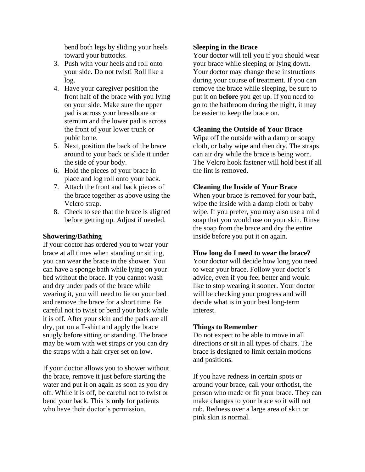bend both legs by sliding your heels toward your buttocks.

- 3. Push with your heels and roll onto your side. Do not twist! Roll like a log.
- 4. Have your caregiver position the front half of the brace with you lying on your side. Make sure the upper pad is across your breastbone or sternum and the lower pad is across the front of your lower trunk or pubic bone.
- 5. Next, position the back of the brace around to your back or slide it under the side of your body.
- 6. Hold the pieces of your brace in place and log roll onto your back.
- 7. Attach the front and back pieces of the brace together as above using the Velcro strap.
- 8. Check to see that the brace is aligned before getting up. Adjust if needed.

#### **Showering/Bathing**

If your doctor has ordered you to wear your brace at all times when standing or sitting, you can wear the brace in the shower. You can have a sponge bath while lying on your bed without the brace. If you cannot wash and dry under pads of the brace while wearing it, you will need to lie on your bed and remove the brace for a short time. Be careful not to twist or bend your back while it is off. After your skin and the pads are all dry, put on a T-shirt and apply the brace snugly before sitting or standing. The brace may be worn with wet straps or you can dry the straps with a hair dryer set on low.

If your doctor allows you to shower without the brace, remove it just before starting the water and put it on again as soon as you dry off. While it is off, be careful not to twist or bend your back. This is **only** for patients who have their doctor's permission.

#### **Sleeping in the Brace**

Your doctor will tell you if you should wear your brace while sleeping or lying down. Your doctor may change these instructions during your course of treatment. If you can remove the brace while sleeping, be sure to put it on **before** you get up. If you need to go to the bathroom during the night, it may be easier to keep the brace on.

#### **Cleaning the Outside of Your Brace**

Wipe off the outside with a damp or soapy cloth, or baby wipe and then dry. The straps can air dry while the brace is being worn. The Velcro hook fastener will hold best if all the lint is removed.

#### **Cleaning the Inside of Your Brace**

When your brace is removed for your bath, wipe the inside with a damp cloth or baby wipe. If you prefer, you may also use a mild soap that you would use on your skin. Rinse the soap from the brace and dry the entire inside before you put it on again.

#### **How long do I need to wear the brace?**

Your doctor will decide how long you need to wear your brace. Follow your doctor's advice, even if you feel better and would like to stop wearing it sooner. Your doctor will be checking your progress and will decide what is in your best long-term interest.

#### **Things to Remember**

Do not expect to be able to move in all directions or sit in all types of chairs. The brace is designed to limit certain motions and positions.

If you have redness in certain spots or around your brace, call your orthotist, the person who made or fit your brace. They can make changes to your brace so it will not rub. Redness over a large area of skin or pink skin is normal.